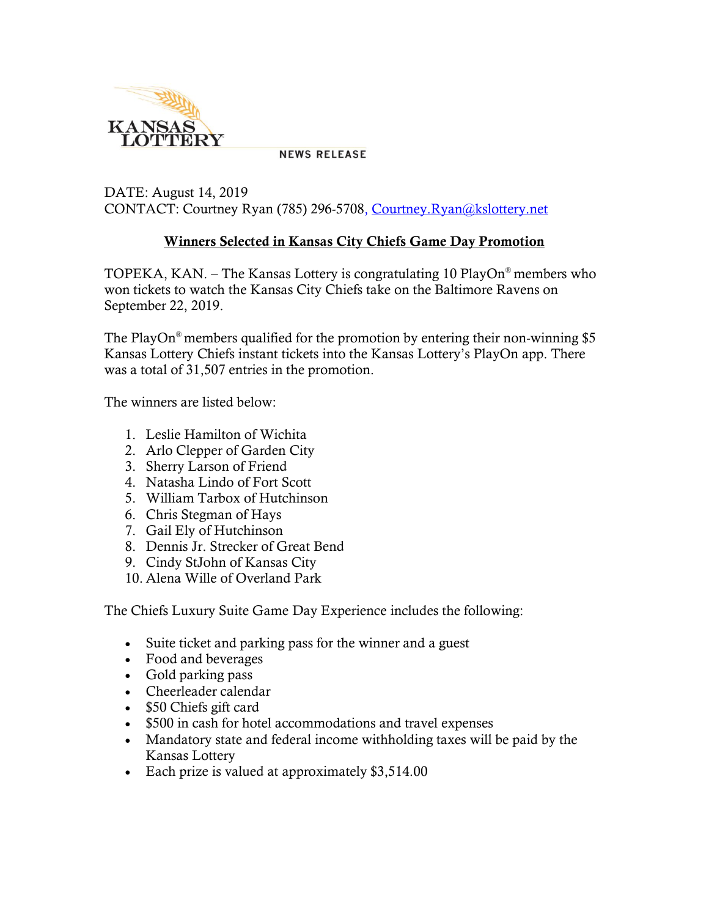

**NEWS RELEASE** 

## DATE: August 14, 2019 CONTACT: Courtney Ryan (785) 296-5708, [Courtney.Ryan@kslottery.net](mailto:Courtney.Ryan@kslottery.net)

## **Winners Selected in Kansas City Chiefs Game Day Promotion**

TOPEKA, KAN. – The Kansas Lottery is congratulating 10 PlayOn® members who won tickets to watch the Kansas City Chiefs take on the Baltimore Ravens on September 22, 2019.

The PlayOn<sup>®</sup> members qualified for the promotion by entering their non-winning \$5 Kansas Lottery Chiefs instant tickets into the Kansas Lottery's PlayOn app. There was a total of 31,507 entries in the promotion.

The winners are listed below:

- 1. Leslie Hamilton of Wichita
- 2. Arlo Clepper of Garden City
- 3. Sherry Larson of Friend
- 4. Natasha Lindo of Fort Scott
- 5. William Tarbox of Hutchinson
- 6. Chris Stegman of Hays
- 7. Gail Ely of Hutchinson
- 8. Dennis Jr. Strecker of Great Bend
- 9. Cindy StJohn of Kansas City
- 10. Alena Wille of Overland Park

The Chiefs Luxury Suite Game Day Experience includes the following:

- Suite ticket and parking pass for the winner and a guest
- Food and beverages
- Gold parking pass
- Cheerleader calendar
- \$50 Chiefs gift card
- \$500 in cash for hotel accommodations and travel expenses
- Mandatory state and federal income withholding taxes will be paid by the Kansas Lottery
- Each prize is valued at approximately \$3,514.00